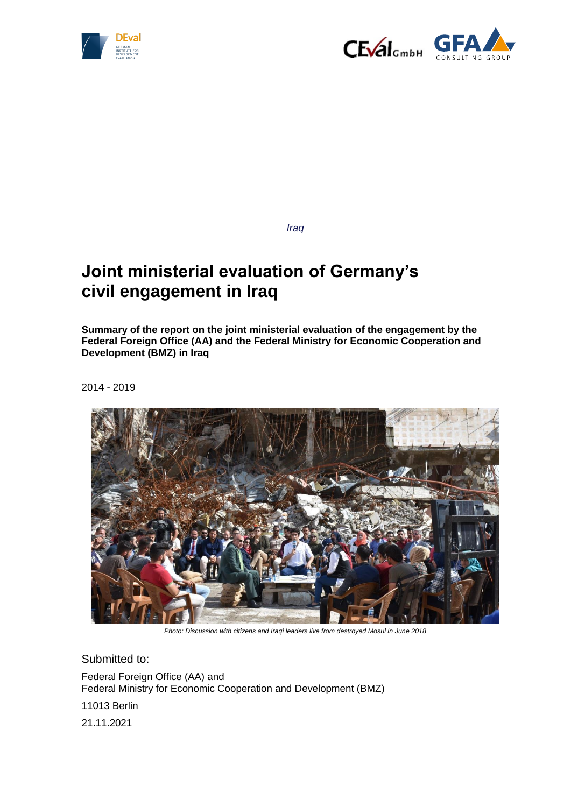



*Iraq*

# **Joint ministerial evaluation of Germany's civil engagement in Iraq**

**Summary of the report on the joint ministerial evaluation of the engagement by the Federal Foreign Office (AA) and the Federal Ministry for Economic Cooperation and Development (BMZ) in Iraq**

2014 - 2019



*Photo: Discussion with citizens and Iraqi leaders live from destroyed Mosul in June 2018*

Submitted to:

Federal Foreign Office (AA) and Federal Ministry for Economic Cooperation and Development (BMZ)

11013 Berlin

21.11.2021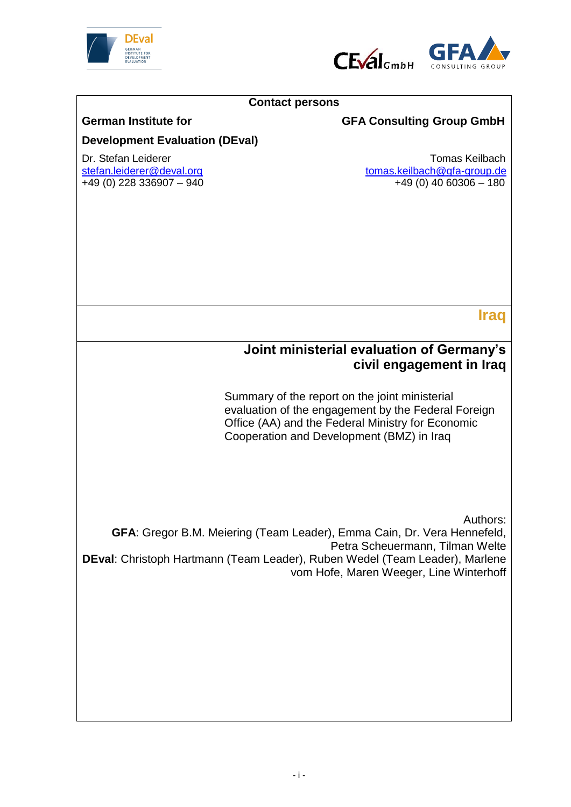



### **Contact persons**

## German Institute for **GFA Consulting Group GmbH**

# **Development Evaluation (DEval)**

 $+49$  (0) 228 336907 – 940

Dr. Stefan Leiderer Chronic Stefan Leiderer Chronic Stefan.<br>Stefan leiderer @deval.org chronic Chronic Stefan Leiderer @deval.org chronic Chronic Stefan Leiderer Chronic  $tomas.keilbach@gfa-group.de  
+49 (0) 40 60306 – 180$  $tomas.keilbach@gfa-group.de  
+49 (0) 40 60306 – 180$  $tomas.keilbach@gfa-group.de  
+49 (0) 40 60306 – 180$ </u>

**Iraq**

# **Joint ministerial evaluation of Germany's civil engagement in Iraq**

Summary of the report on the joint ministerial evaluation of the engagement by the Federal Foreign Office (AA) and the Federal Ministry for Economic Cooperation and Development (BMZ) in Iraq

Authors:

**GFA**: Gregor B.M. Meiering (Team Leader), Emma Cain, Dr. Vera Hennefeld, Petra Scheuermann, Tilman Welte **DEval**: Christoph Hartmann (Team Leader), Ruben Wedel (Team Leader), Marlene vom Hofe, Maren Weeger, Line Winterhoff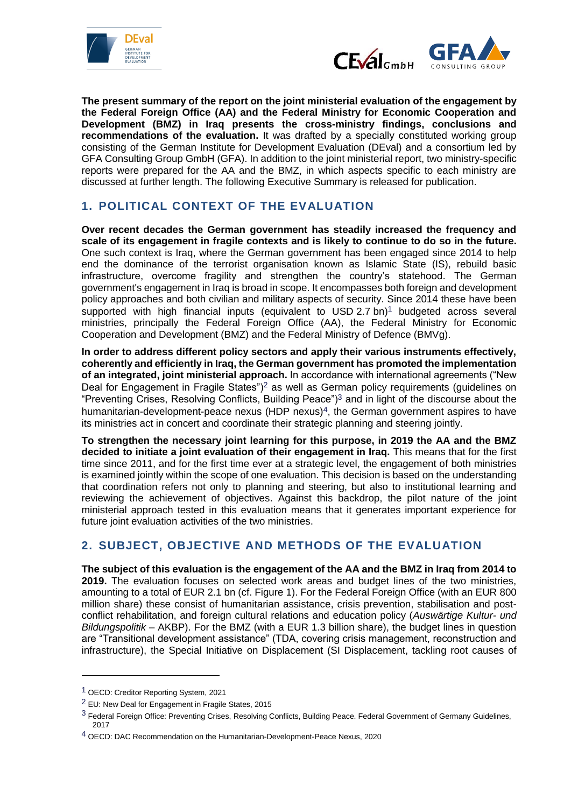



**The present summary of the report on the joint ministerial evaluation of the engagement by the Federal Foreign Office (AA) and the Federal Ministry for Economic Cooperation and Development (BMZ) in Iraq presents the cross-ministry findings, conclusions and recommendations of the evaluation.** It was drafted by a specially constituted working group consisting of the German Institute for Development Evaluation (DEval) and a consortium led by GFA Consulting Group GmbH (GFA). In addition to the joint ministerial report, two ministry-specific reports were prepared for the AA and the BMZ, in which aspects specific to each ministry are discussed at further length. The following Executive Summary is released for publication.

## **1. POLITICAL CONTEXT OF THE EVALUATION**

**Over recent decades the German government has steadily increased the frequency and scale of its engagement in fragile contexts and is likely to continue to do so in the future.** One such context is Iraq, where the German government has been engaged since 2014 to help end the dominance of the terrorist organisation known as Islamic State (IS), rebuild basic infrastructure, overcome fragility and strengthen the country's statehood. The German government's engagement in Iraq is broad in scope. It encompasses both foreign and development policy approaches and both civilian and military aspects of security. Since 2014 these have been supported with high financial inputs (equivalent to USD  $2.7$  bn)<sup>1</sup> budgeted across several ministries, principally the Federal Foreign Office (AA), the Federal Ministry for Economic Cooperation and Development (BMZ) and the Federal Ministry of Defence (BMVg).

**In order to address different policy sectors and apply their various instruments effectively, coherently and efficiently in Iraq, the German government has promoted the implementation of an integrated, joint ministerial approach.** In accordance with international agreements ("New Deal for Engagement in Fragile States")<sup>2</sup> as well as German policy requirements (guidelines on "Preventing Crises, Resolving Conflicts, Building Peace")<sup>3</sup> and in light of the discourse about the humanitarian-development-peace nexus  $(HDP$  nexus)<sup>4</sup>, the German government aspires to have its ministries act in concert and coordinate their strategic planning and steering jointly.

**To strengthen the necessary joint learning for this purpose, in 2019 the AA and the BMZ decided to initiate a joint evaluation of their engagement in Iraq.** This means that for the first time since 2011, and for the first time ever at a strategic level, the engagement of both ministries is examined jointly within the scope of one evaluation. This decision is based on the understanding that coordination refers not only to planning and steering, but also to institutional learning and reviewing the achievement of objectives. Against this backdrop, the pilot nature of the joint ministerial approach tested in this evaluation means that it generates important experience for future joint evaluation activities of the two ministries.

## **2. SUBJECT, OBJECTIVE AND METHODS OF THE EVALUATION**

**The subject of this evaluation is the engagement of the AA and the BMZ in Iraq from 2014 to 2019.** The evaluation focuses on selected work areas and budget lines of the two ministries, amounting to a total of EUR 2.1 bn (cf. Figure 1). For the Federal Foreign Office (with an EUR 800 million share) these consist of humanitarian assistance, crisis prevention, stabilisation and postconflict rehabilitation, and foreign cultural relations and education policy (*Auswärtige Kultur- und Bildungspolitik* – AKBP). For the BMZ (with a EUR 1.3 billion share), the budget lines in question are "Transitional development assistance" (TDA, covering crisis management, reconstruction and infrastructure), the Special Initiative on Displacement (SI Displacement, tackling root causes of

1

<sup>1</sup> OECD: Creditor Reporting System, 2021

<sup>2</sup> EU: New Deal for Engagement in Fragile States, 2015

 $3$  Federal Foreign Office: Preventing Crises, Resolving Conflicts, Building Peace. Federal Government of Germany Guidelines, 2017

<sup>&</sup>lt;sup>4</sup> OECD: DAC Recommendation on the Humanitarian-Development-Peace Nexus, 2020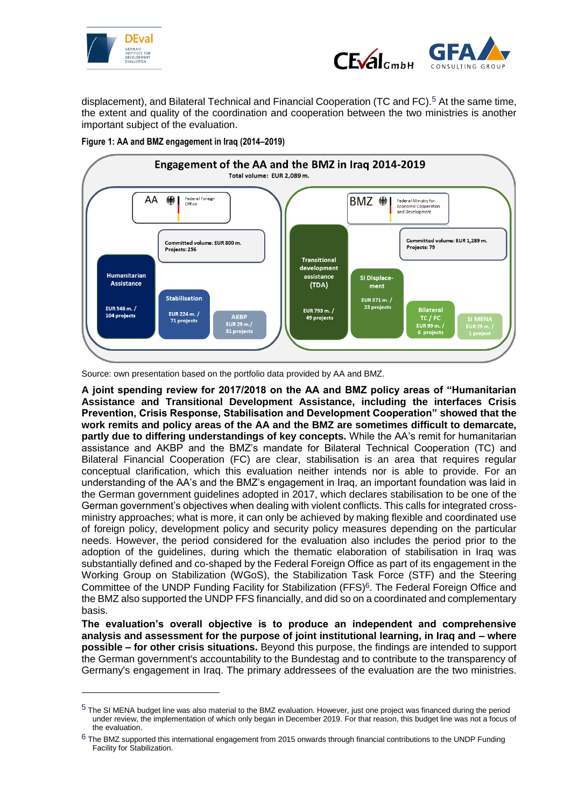

1



displacement), and Bilateral Technical and Financial Cooperation (TC and FC).<sup>5</sup> At the same time, the extent and quality of the coordination and cooperation between the two ministries is another important subject of the evaluation.



**Figure 1: AA and BMZ engagement in Iraq (2014–2019)**

Source: own presentation based on the portfolio data provided by AA and BMZ.

**A joint spending review for 2017/2018 on the AA and BMZ policy areas of "Humanitarian Assistance and Transitional Development Assistance, including the interfaces Crisis Prevention, Crisis Response, Stabilisation and Development Cooperation" showed that the work remits and policy areas of the AA and the BMZ are sometimes difficult to demarcate, partly due to differing understandings of key concepts.** While the AA's remit for humanitarian assistance and AKBP and the BMZ's mandate for Bilateral Technical Cooperation (TC) and Bilateral Financial Cooperation (FC) are clear, stabilisation is an area that requires regular conceptual clarification, which this evaluation neither intends nor is able to provide. For an understanding of the AA's and the BMZ's engagement in Iraq, an important foundation was laid in the German government guidelines adopted in 2017, which declares stabilisation to be one of the German government's objectives when dealing with violent conflicts. This calls for integrated crossministry approaches; what is more, it can only be achieved by making flexible and coordinated use of foreign policy, development policy and security policy measures depending on the particular needs. However, the period considered for the evaluation also includes the period prior to the adoption of the guidelines, during which the thematic elaboration of stabilisation in Iraq was substantially defined and co-shaped by the Federal Foreign Office as part of its engagement in the Working Group on Stabilization (WGoS), the Stabilization Task Force (STF) and the Steering Committee of the UNDP Funding Facility for Stabilization (FFS)<sup>6</sup>. The Federal Foreign Office and the BMZ also supported the UNDP FFS financially, and did so on a coordinated and complementary basis.

**The evaluation's overall objective is to produce an independent and comprehensive analysis and assessment for the purpose of joint institutional learning, in Iraq and – where possible – for other crisis situations.** Beyond this purpose, the findings are intended to support the German government's accountability to the Bundestag and to contribute to the transparency of Germany's engagement in Iraq. The primary addressees of the evaluation are the two ministries.

<sup>&</sup>lt;sup>5</sup> The SI MENA budget line was also material to the BMZ evaluation. However, just one project was financed during the period under review, the implementation of which only began in December 2019. For that reason, this budget line was not a focus of the evaluation.

 $6$  The BMZ supported this international engagement from 2015 onwards through financial contributions to the UNDP Funding Facility for Stabilization.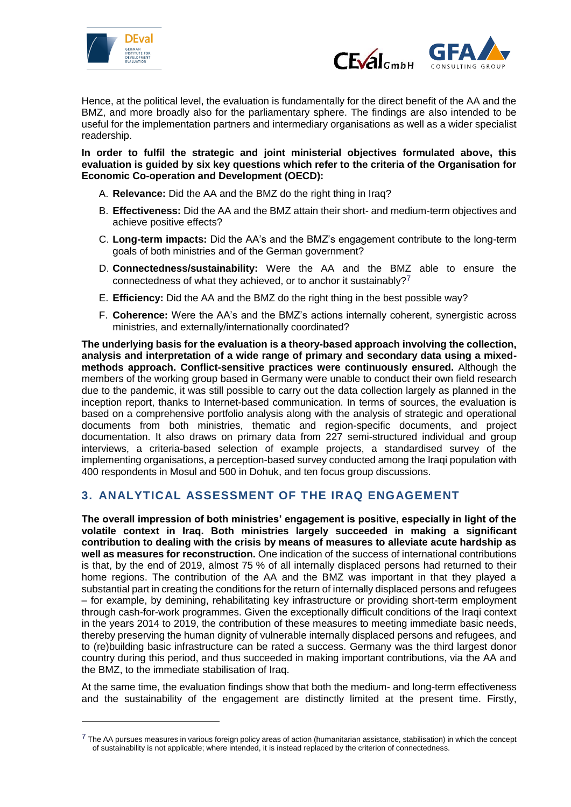

1



Hence, at the political level, the evaluation is fundamentally for the direct benefit of the AA and the BMZ, and more broadly also for the parliamentary sphere. The findings are also intended to be useful for the implementation partners and intermediary organisations as well as a wider specialist readership.

**In order to fulfil the strategic and joint ministerial objectives formulated above, this evaluation is guided by six key questions which refer to the criteria of the Organisation for Economic Co-operation and Development (OECD):**

- A. **Relevance:** Did the AA and the BMZ do the right thing in Iraq?
- B. **Effectiveness:** Did the AA and the BMZ attain their short- and medium-term objectives and achieve positive effects?
- C. **Long-term impacts:** Did the AA's and the BMZ's engagement contribute to the long-term goals of both ministries and of the German government?
- D. **Connectedness/sustainability:** Were the AA and the BMZ able to ensure the connectedness of what they achieved, or to anchor it sustainably?<sup>7</sup>
- E. **Efficiency:** Did the AA and the BMZ do the right thing in the best possible way?
- F. **Coherence:** Were the AA's and the BMZ's actions internally coherent, synergistic across ministries, and externally/internationally coordinated?

**The underlying basis for the evaluation is a theory-based approach involving the collection, analysis and interpretation of a wide range of primary and secondary data using a mixedmethods approach. Conflict-sensitive practices were continuously ensured.** Although the members of the working group based in Germany were unable to conduct their own field research due to the pandemic, it was still possible to carry out the data collection largely as planned in the inception report, thanks to Internet-based communication. In terms of sources, the evaluation is based on a comprehensive portfolio analysis along with the analysis of strategic and operational documents from both ministries, thematic and region-specific documents, and project documentation. It also draws on primary data from 227 semi-structured individual and group interviews, a criteria-based selection of example projects, a standardised survey of the implementing organisations, a perception-based survey conducted among the Iraqi population with 400 respondents in Mosul and 500 in Dohuk, and ten focus group discussions.

## **3. ANALYTICAL ASSESSMENT OF THE IRAQ ENGAGEMENT**

**The overall impression of both ministries' engagement is positive, especially in light of the volatile context in Iraq. Both ministries largely succeeded in making a significant contribution to dealing with the crisis by means of measures to alleviate acute hardship as well as measures for reconstruction.** One indication of the success of international contributions is that, by the end of 2019, almost 75 % of all internally displaced persons had returned to their home regions. The contribution of the AA and the BMZ was important in that they played a substantial part in creating the conditions for the return of internally displaced persons and refugees – for example, by demining, rehabilitating key infrastructure or providing short-term employment through cash-for-work programmes. Given the exceptionally difficult conditions of the Iraqi context in the years 2014 to 2019, the contribution of these measures to meeting immediate basic needs, thereby preserving the human dignity of vulnerable internally displaced persons and refugees, and to (re)building basic infrastructure can be rated a success. Germany was the third largest donor country during this period, and thus succeeded in making important contributions, via the AA and the BMZ, to the immediate stabilisation of Iraq.

At the same time, the evaluation findings show that both the medium- and long-term effectiveness and the sustainability of the engagement are distinctly limited at the present time. Firstly,

 $7$  The AA pursues measures in various foreign policy areas of action (humanitarian assistance, stabilisation) in which the concept of sustainability is not applicable; where intended, it is instead replaced by the criterion of connectedness.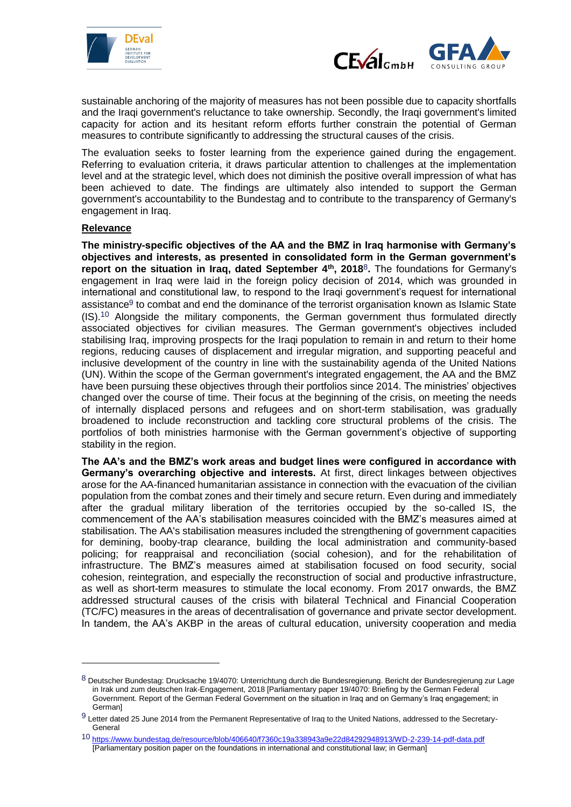



sustainable anchoring of the majority of measures has not been possible due to capacity shortfalls and the Iraqi government's reluctance to take ownership. Secondly, the Iraqi government's limited capacity for action and its hesitant reform efforts further constrain the potential of German measures to contribute significantly to addressing the structural causes of the crisis.

The evaluation seeks to foster learning from the experience gained during the engagement. Referring to evaluation criteria, it draws particular attention to challenges at the implementation level and at the strategic level, which does not diminish the positive overall impression of what has been achieved to date. The findings are ultimately also intended to support the German government's accountability to the Bundestag and to contribute to the transparency of Germany's engagement in Iraq.

#### **Relevance**

-

**The ministry-specific objectives of the AA and the BMZ in Iraq harmonise with Germany's objectives and interests, as presented in consolidated form in the German government's report on the situation in Iraq, dated September 4th, 2018**8**.** The foundations for Germany's engagement in Iraq were laid in the foreign policy decision of 2014, which was grounded in international and constitutional law, to respond to the Iraqi government's request for international assistance<sup>9</sup> to combat and end the dominance of the terrorist organisation known as Islamic State (IS).<sup>10</sup> Alongside the military components, the German government thus formulated directly associated objectives for civilian measures. The German government's objectives included stabilising Iraq, improving prospects for the Iraqi population to remain in and return to their home regions, reducing causes of displacement and irregular migration, and supporting peaceful and inclusive development of the country in line with the sustainability agenda of the United Nations (UN). Within the scope of the German government's integrated engagement, the AA and the BMZ have been pursuing these objectives through their portfolios since 2014. The ministries' objectives changed over the course of time. Their focus at the beginning of the crisis, on meeting the needs of internally displaced persons and refugees and on short-term stabilisation, was gradually broadened to include reconstruction and tackling core structural problems of the crisis. The portfolios of both ministries harmonise with the German government's objective of supporting stability in the region.

**The AA's and the BMZ's work areas and budget lines were configured in accordance with Germany's overarching objective and interests.** At first, direct linkages between objectives arose for the AA-financed humanitarian assistance in connection with the evacuation of the civilian population from the combat zones and their timely and secure return. Even during and immediately after the gradual military liberation of the territories occupied by the so-called IS, the commencement of the AA's stabilisation measures coincided with the BMZ's measures aimed at stabilisation. The AA's stabilisation measures included the strengthening of government capacities for demining, booby-trap clearance, building the local administration and community-based policing; for reappraisal and reconciliation (social cohesion), and for the rehabilitation of infrastructure. The BMZ's measures aimed at stabilisation focused on food security, social cohesion, reintegration, and especially the reconstruction of social and productive infrastructure, as well as short-term measures to stimulate the local economy. From 2017 onwards, the BMZ addressed structural causes of the crisis with bilateral Technical and Financial Cooperation (TC/FC) measures in the areas of decentralisation of governance and private sector development. In tandem, the AA's AKBP in the areas of cultural education, university cooperation and media

<sup>8</sup> Deutscher Bundestag: Drucksache 19/4070: Unterrichtung durch die Bundesregierung. Bericht der Bundesregierung zur Lage in Irak und zum deutschen Irak-Engagement, 2018 [Parliamentary paper 19/4070: Briefing by the German Federal Government. Report of the German Federal Government on the situation in Iraq and on Germany's Iraq engagement; in German]

<sup>9</sup> Letter dated 25 June 2014 from the Permanent Representative of Iraq to the United Nations, addressed to the Secretary-**General** 

<sup>10</sup> <https://www.bundestag.de/resource/blob/406640/f7360c19a338943a9e22d84292948913/WD-2-239-14-pdf-data.pdf> [Parliamentary position paper on the foundations in international and constitutional law; in German]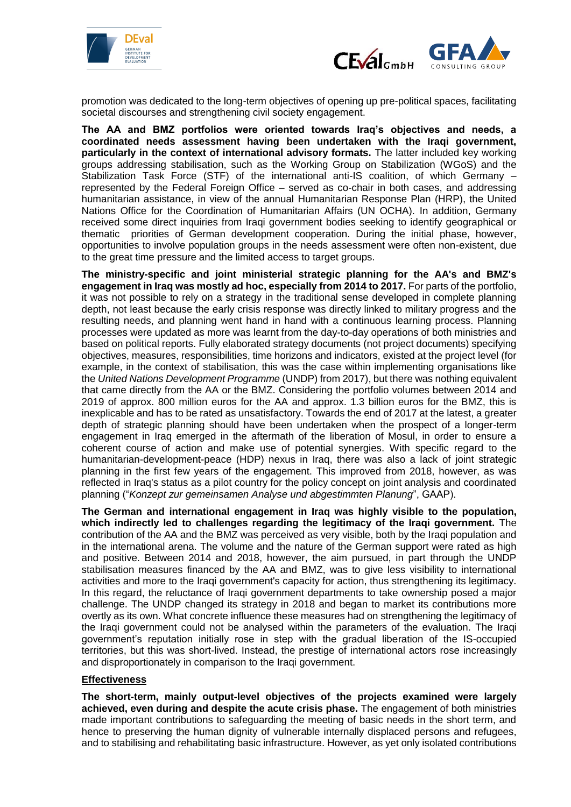



promotion was dedicated to the long-term objectives of opening up pre-political spaces, facilitating societal discourses and strengthening civil society engagement.

**The AA and BMZ portfolios were oriented towards Iraq's objectives and needs, a coordinated needs assessment having been undertaken with the Iraqi government, particularly in the context of international advisory formats.** The latter included key working groups addressing stabilisation, such as the Working Group on Stabilization (WGoS) and the Stabilization Task Force (STF) of the international anti-IS coalition, of which Germany – represented by the Federal Foreign Office – served as co-chair in both cases, and addressing humanitarian assistance, in view of the annual Humanitarian Response Plan (HRP), the United Nations Office for the Coordination of Humanitarian Affairs (UN OCHA). In addition, Germany received some direct inquiries from Iraqi government bodies seeking to identify geographical or thematic priorities of German development cooperation. During the initial phase, however, opportunities to involve population groups in the needs assessment were often non-existent, due to the great time pressure and the limited access to target groups.

**The ministry-specific and joint ministerial strategic planning for the AA's and BMZ's engagement in Iraq was mostly ad hoc, especially from 2014 to 2017.** For parts of the portfolio, it was not possible to rely on a strategy in the traditional sense developed in complete planning depth, not least because the early crisis response was directly linked to military progress and the resulting needs, and planning went hand in hand with a continuous learning process. Planning processes were updated as more was learnt from the day-to-day operations of both ministries and based on political reports. Fully elaborated strategy documents (not project documents) specifying objectives, measures, responsibilities, time horizons and indicators, existed at the project level (for example, in the context of stabilisation, this was the case within implementing organisations like the *United Nations Development Programme* (UNDP) from 2017), but there was nothing equivalent that came directly from the AA or the BMZ. Considering the portfolio volumes between 2014 and 2019 of approx. 800 million euros for the AA and approx. 1.3 billion euros for the BMZ, this is inexplicable and has to be rated as unsatisfactory. Towards the end of 2017 at the latest, a greater depth of strategic planning should have been undertaken when the prospect of a longer-term engagement in Iraq emerged in the aftermath of the liberation of Mosul, in order to ensure a coherent course of action and make use of potential synergies. With specific regard to the humanitarian-development-peace (HDP) nexus in Iraq, there was also a lack of joint strategic planning in the first few years of the engagement. This improved from 2018, however, as was reflected in Iraq's status as a pilot country for the policy concept on joint analysis and coordinated planning ("*Konzept zur gemeinsamen Analyse und abgestimmten Planung*", GAAP).

**The German and international engagement in Iraq was highly visible to the population, which indirectly led to challenges regarding the legitimacy of the Iraqi government.** The contribution of the AA and the BMZ was perceived as very visible, both by the Iraqi population and in the international arena. The volume and the nature of the German support were rated as high and positive. Between 2014 and 2018, however, the aim pursued, in part through the UNDP stabilisation measures financed by the AA and BMZ, was to give less visibility to international activities and more to the Iraqi government's capacity for action, thus strengthening its legitimacy. In this regard, the reluctance of Iraqi government departments to take ownership posed a major challenge. The UNDP changed its strategy in 2018 and began to market its contributions more overtly as its own. What concrete influence these measures had on strengthening the legitimacy of the Iraqi government could not be analysed within the parameters of the evaluation. The Iraqi government's reputation initially rose in step with the gradual liberation of the IS-occupied territories, but this was short-lived. Instead, the prestige of international actors rose increasingly and disproportionately in comparison to the Iraqi government.

#### **Effectiveness**

**The short-term, mainly output-level objectives of the projects examined were largely achieved, even during and despite the acute crisis phase.** The engagement of both ministries made important contributions to safeguarding the meeting of basic needs in the short term, and hence to preserving the human dignity of vulnerable internally displaced persons and refugees, and to stabilising and rehabilitating basic infrastructure. However, as yet only isolated contributions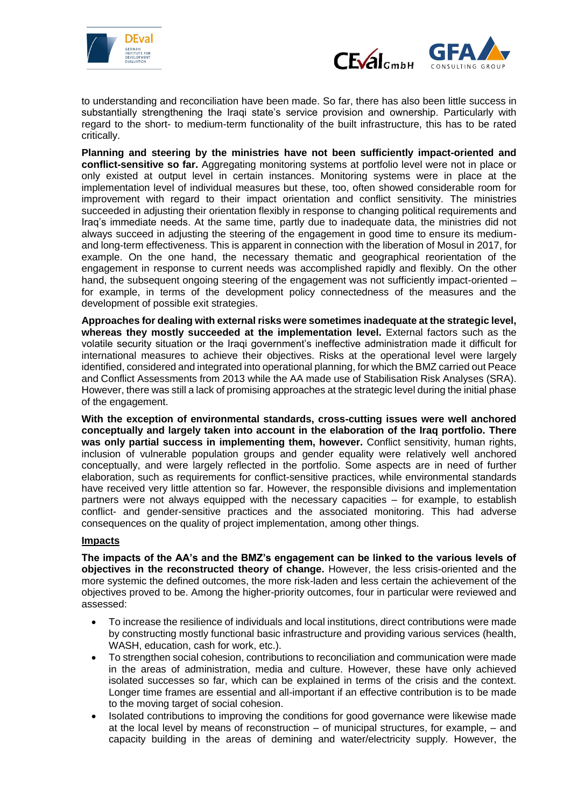



to understanding and reconciliation have been made. So far, there has also been little success in substantially strengthening the Iraqi state's service provision and ownership. Particularly with regard to the short- to medium-term functionality of the built infrastructure, this has to be rated critically.

**Planning and steering by the ministries have not been sufficiently impact-oriented and conflict-sensitive so far.** Aggregating monitoring systems at portfolio level were not in place or only existed at output level in certain instances. Monitoring systems were in place at the implementation level of individual measures but these, too, often showed considerable room for improvement with regard to their impact orientation and conflict sensitivity. The ministries succeeded in adjusting their orientation flexibly in response to changing political requirements and Iraq's immediate needs. At the same time, partly due to inadequate data, the ministries did not always succeed in adjusting the steering of the engagement in good time to ensure its mediumand long-term effectiveness. This is apparent in connection with the liberation of Mosul in 2017, for example. On the one hand, the necessary thematic and geographical reorientation of the engagement in response to current needs was accomplished rapidly and flexibly. On the other hand, the subsequent ongoing steering of the engagement was not sufficiently impact-oriented – for example, in terms of the development policy connectedness of the measures and the development of possible exit strategies.

**Approaches for dealing with external risks were sometimes inadequate at the strategic level, whereas they mostly succeeded at the implementation level.** External factors such as the volatile security situation or the Iraqi government's ineffective administration made it difficult for international measures to achieve their objectives. Risks at the operational level were largely identified, considered and integrated into operational planning, for which the BMZ carried out Peace and Conflict Assessments from 2013 while the AA made use of Stabilisation Risk Analyses (SRA). However, there was still a lack of promising approaches at the strategic level during the initial phase of the engagement.

**With the exception of environmental standards, cross-cutting issues were well anchored conceptually and largely taken into account in the elaboration of the Iraq portfolio. There was only partial success in implementing them, however.** Conflict sensitivity, human rights, inclusion of vulnerable population groups and gender equality were relatively well anchored conceptually, and were largely reflected in the portfolio. Some aspects are in need of further elaboration, such as requirements for conflict-sensitive practices, while environmental standards have received very little attention so far. However, the responsible divisions and implementation partners were not always equipped with the necessary capacities – for example, to establish conflict- and gender-sensitive practices and the associated monitoring. This had adverse consequences on the quality of project implementation, among other things.

#### **Impacts**

**The impacts of the AA's and the BMZ's engagement can be linked to the various levels of objectives in the reconstructed theory of change.** However, the less crisis-oriented and the more systemic the defined outcomes, the more risk-laden and less certain the achievement of the objectives proved to be. Among the higher-priority outcomes, four in particular were reviewed and assessed:

- To increase the resilience of individuals and local institutions, direct contributions were made by constructing mostly functional basic infrastructure and providing various services (health, WASH, education, cash for work, etc.).
- To strengthen social cohesion, contributions to reconciliation and communication were made in the areas of administration, media and culture. However, these have only achieved isolated successes so far, which can be explained in terms of the crisis and the context. Longer time frames are essential and all-important if an effective contribution is to be made to the moving target of social cohesion.
- Isolated contributions to improving the conditions for good governance were likewise made at the local level by means of reconstruction – of municipal structures, for example, – and capacity building in the areas of demining and water/electricity supply. However, the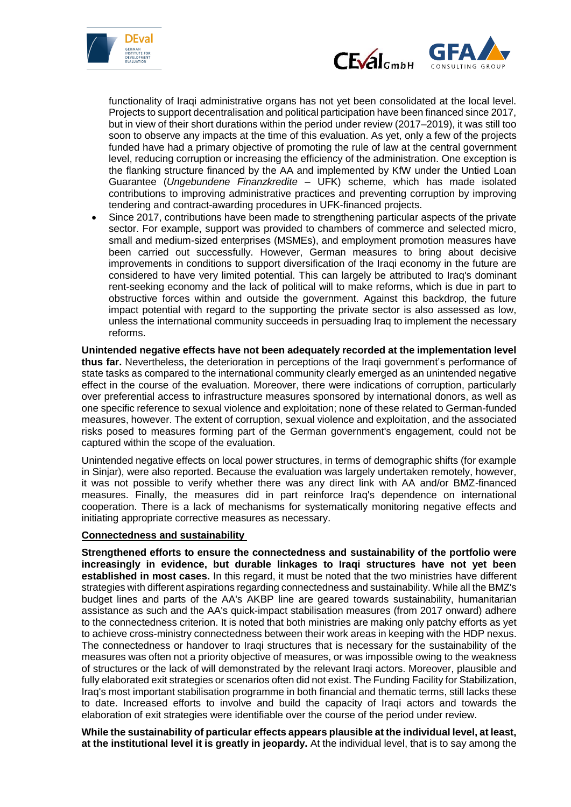



functionality of Iraqi administrative organs has not yet been consolidated at the local level. Projects to support decentralisation and political participation have been financed since 2017, but in view of their short durations within the period under review (2017–2019), it was still too soon to observe any impacts at the time of this evaluation. As yet, only a few of the projects funded have had a primary objective of promoting the rule of law at the central government level, reducing corruption or increasing the efficiency of the administration. One exception is the flanking structure financed by the AA and implemented by KfW under the Untied Loan Guarantee (*Ungebundene Finanzkredite* – UFK) scheme, which has made isolated contributions to improving administrative practices and preventing corruption by improving tendering and contract-awarding procedures in UFK-financed projects.

 Since 2017, contributions have been made to strengthening particular aspects of the private sector. For example, support was provided to chambers of commerce and selected micro, small and medium-sized enterprises (MSMEs), and employment promotion measures have been carried out successfully. However, German measures to bring about decisive improvements in conditions to support diversification of the Iraqi economy in the future are considered to have very limited potential. This can largely be attributed to Iraq's dominant rent-seeking economy and the lack of political will to make reforms, which is due in part to obstructive forces within and outside the government. Against this backdrop, the future impact potential with regard to the supporting the private sector is also assessed as low, unless the international community succeeds in persuading Iraq to implement the necessary reforms.

**Unintended negative effects have not been adequately recorded at the implementation level thus far.** Nevertheless, the deterioration in perceptions of the Iraqi government's performance of state tasks as compared to the international community clearly emerged as an unintended negative effect in the course of the evaluation. Moreover, there were indications of corruption, particularly over preferential access to infrastructure measures sponsored by international donors, as well as one specific reference to sexual violence and exploitation; none of these related to German-funded measures, however. The extent of corruption, sexual violence and exploitation, and the associated risks posed to measures forming part of the German government's engagement, could not be captured within the scope of the evaluation.

Unintended negative effects on local power structures, in terms of demographic shifts (for example in Sinjar), were also reported. Because the evaluation was largely undertaken remotely, however, it was not possible to verify whether there was any direct link with AA and/or BMZ-financed measures. Finally, the measures did in part reinforce Iraq's dependence on international cooperation. There is a lack of mechanisms for systematically monitoring negative effects and initiating appropriate corrective measures as necessary.

#### **Connectedness and sustainability**

**Strengthened efforts to ensure the connectedness and sustainability of the portfolio were increasingly in evidence, but durable linkages to Iraqi structures have not yet been established in most cases.** In this regard, it must be noted that the two ministries have different strategies with different aspirations regarding connectedness and sustainability. While all the BMZ's budget lines and parts of the AA's AKBP line are geared towards sustainability, humanitarian assistance as such and the AA's quick-impact stabilisation measures (from 2017 onward) adhere to the connectedness criterion. It is noted that both ministries are making only patchy efforts as yet to achieve cross-ministry connectedness between their work areas in keeping with the HDP nexus. The connectedness or handover to Iraqi structures that is necessary for the sustainability of the measures was often not a priority objective of measures, or was impossible owing to the weakness of structures or the lack of will demonstrated by the relevant Iraqi actors. Moreover, plausible and fully elaborated exit strategies or scenarios often did not exist. The Funding Facility for Stabilization, Iraq's most important stabilisation programme in both financial and thematic terms, still lacks these to date. Increased efforts to involve and build the capacity of Iraqi actors and towards the elaboration of exit strategies were identifiable over the course of the period under review.

**While the sustainability of particular effects appears plausible at the individual level, at least, at the institutional level it is greatly in jeopardy.** At the individual level, that is to say among the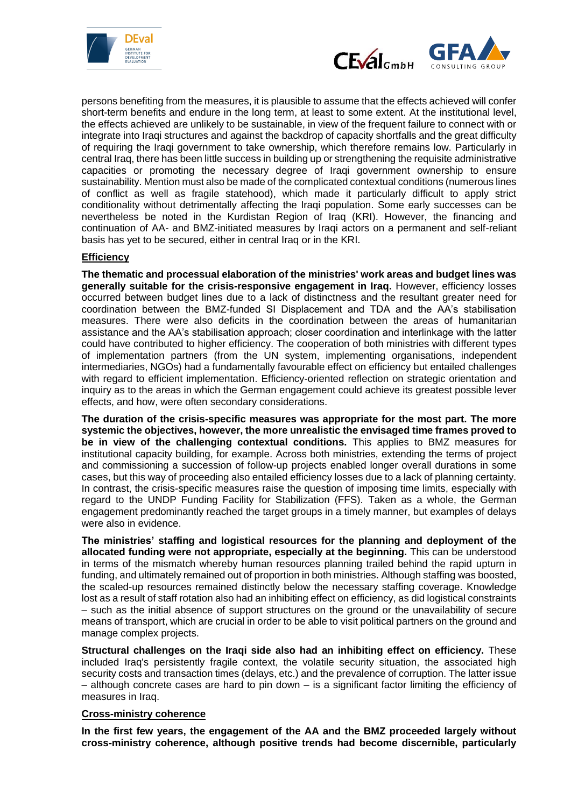



persons benefiting from the measures, it is plausible to assume that the effects achieved will confer short-term benefits and endure in the long term, at least to some extent. At the institutional level, the effects achieved are unlikely to be sustainable, in view of the frequent failure to connect with or integrate into Iraqi structures and against the backdrop of capacity shortfalls and the great difficulty of requiring the Iraqi government to take ownership, which therefore remains low. Particularly in central Iraq, there has been little success in building up or strengthening the requisite administrative capacities or promoting the necessary degree of Iraqi government ownership to ensure sustainability. Mention must also be made of the complicated contextual conditions (numerous lines of conflict as well as fragile statehood), which made it particularly difficult to apply strict conditionality without detrimentally affecting the Iraqi population. Some early successes can be nevertheless be noted in the Kurdistan Region of Iraq (KRI). However, the financing and continuation of AA- and BMZ-initiated measures by Iraqi actors on a permanent and self-reliant basis has yet to be secured, either in central Iraq or in the KRI.

#### **Efficiency**

**The thematic and processual elaboration of the ministries' work areas and budget lines was generally suitable for the crisis-responsive engagement in Iraq.** However, efficiency losses occurred between budget lines due to a lack of distinctness and the resultant greater need for coordination between the BMZ-funded SI Displacement and TDA and the AA's stabilisation measures. There were also deficits in the coordination between the areas of humanitarian assistance and the AA's stabilisation approach; closer coordination and interlinkage with the latter could have contributed to higher efficiency. The cooperation of both ministries with different types of implementation partners (from the UN system, implementing organisations, independent intermediaries, NGOs) had a fundamentally favourable effect on efficiency but entailed challenges with regard to efficient implementation. Efficiency-oriented reflection on strategic orientation and inquiry as to the areas in which the German engagement could achieve its greatest possible lever effects, and how, were often secondary considerations.

**The duration of the crisis-specific measures was appropriate for the most part. The more systemic the objectives, however, the more unrealistic the envisaged time frames proved to be in view of the challenging contextual conditions.** This applies to BMZ measures for institutional capacity building, for example. Across both ministries, extending the terms of project and commissioning a succession of follow-up projects enabled longer overall durations in some cases, but this way of proceeding also entailed efficiency losses due to a lack of planning certainty. In contrast, the crisis-specific measures raise the question of imposing time limits, especially with regard to the UNDP Funding Facility for Stabilization (FFS). Taken as a whole, the German engagement predominantly reached the target groups in a timely manner, but examples of delays were also in evidence.

**The ministries' staffing and logistical resources for the planning and deployment of the allocated funding were not appropriate, especially at the beginning.** This can be understood in terms of the mismatch whereby human resources planning trailed behind the rapid upturn in funding, and ultimately remained out of proportion in both ministries. Although staffing was boosted, the scaled-up resources remained distinctly below the necessary staffing coverage. Knowledge lost as a result of staff rotation also had an inhibiting effect on efficiency, as did logistical constraints – such as the initial absence of support structures on the ground or the unavailability of secure means of transport, which are crucial in order to be able to visit political partners on the ground and manage complex projects.

**Structural challenges on the Iraqi side also had an inhibiting effect on efficiency.** These included Iraq's persistently fragile context, the volatile security situation, the associated high security costs and transaction times (delays, etc.) and the prevalence of corruption. The latter issue – although concrete cases are hard to pin down – is a significant factor limiting the efficiency of measures in Iraq.

#### **Cross-ministry coherence**

**In the first few years, the engagement of the AA and the BMZ proceeded largely without cross-ministry coherence, although positive trends had become discernible, particularly**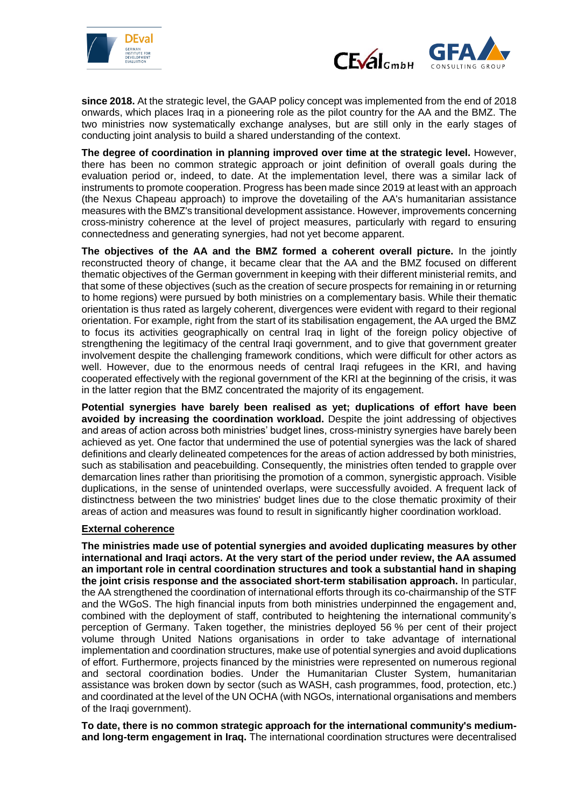



**since 2018.** At the strategic level, the GAAP policy concept was implemented from the end of 2018 onwards, which places Iraq in a pioneering role as the pilot country for the AA and the BMZ. The two ministries now systematically exchange analyses, but are still only in the early stages of conducting joint analysis to build a shared understanding of the context.

**The degree of coordination in planning improved over time at the strategic level.** However, there has been no common strategic approach or joint definition of overall goals during the evaluation period or, indeed, to date. At the implementation level, there was a similar lack of instruments to promote cooperation. Progress has been made since 2019 at least with an approach (the Nexus Chapeau approach) to improve the dovetailing of the AA's humanitarian assistance measures with the BMZ's transitional development assistance. However, improvements concerning cross-ministry coherence at the level of project measures, particularly with regard to ensuring connectedness and generating synergies, had not yet become apparent.

**The objectives of the AA and the BMZ formed a coherent overall picture.** In the jointly reconstructed theory of change, it became clear that the AA and the BMZ focused on different thematic objectives of the German government in keeping with their different ministerial remits, and that some of these objectives (such as the creation of secure prospects for remaining in or returning to home regions) were pursued by both ministries on a complementary basis. While their thematic orientation is thus rated as largely coherent, divergences were evident with regard to their regional orientation. For example, right from the start of its stabilisation engagement, the AA urged the BMZ to focus its activities geographically on central Iraq in light of the foreign policy objective of strengthening the legitimacy of the central Iraqi government, and to give that government greater involvement despite the challenging framework conditions, which were difficult for other actors as well. However, due to the enormous needs of central Iraqi refugees in the KRI, and having cooperated effectively with the regional government of the KRI at the beginning of the crisis, it was in the latter region that the BMZ concentrated the majority of its engagement.

**Potential synergies have barely been realised as yet; duplications of effort have been avoided by increasing the coordination workload.** Despite the joint addressing of objectives and areas of action across both ministries' budget lines, cross-ministry synergies have barely been achieved as yet. One factor that undermined the use of potential synergies was the lack of shared definitions and clearly delineated competences for the areas of action addressed by both ministries, such as stabilisation and peacebuilding. Consequently, the ministries often tended to grapple over demarcation lines rather than prioritising the promotion of a common, synergistic approach. Visible duplications, in the sense of unintended overlaps, were successfully avoided. A frequent lack of distinctness between the two ministries' budget lines due to the close thematic proximity of their areas of action and measures was found to result in significantly higher coordination workload.

#### **External coherence**

**The ministries made use of potential synergies and avoided duplicating measures by other international and Iraqi actors. At the very start of the period under review, the AA assumed an important role in central coordination structures and took a substantial hand in shaping the joint crisis response and the associated short-term stabilisation approach.** In particular, the AA strengthened the coordination of international efforts through its co-chairmanship of the STF and the WGoS. The high financial inputs from both ministries underpinned the engagement and, combined with the deployment of staff, contributed to heightening the international community's perception of Germany. Taken together, the ministries deployed 56 % per cent of their project volume through United Nations organisations in order to take advantage of international implementation and coordination structures, make use of potential synergies and avoid duplications of effort. Furthermore, projects financed by the ministries were represented on numerous regional and sectoral coordination bodies. Under the Humanitarian Cluster System, humanitarian assistance was broken down by sector (such as WASH, cash programmes, food, protection, etc.) and coordinated at the level of the UN OCHA (with NGOs, international organisations and members of the Iraqi government).

**To date, there is no common strategic approach for the international community's mediumand long-term engagement in Iraq.** The international coordination structures were decentralised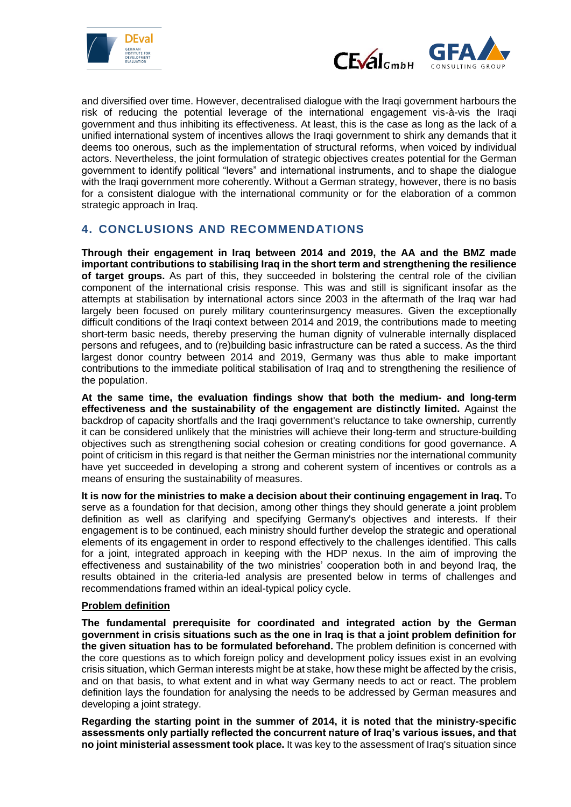



and diversified over time. However, decentralised dialogue with the Iraqi government harbours the risk of reducing the potential leverage of the international engagement vis-à-vis the Iraqi government and thus inhibiting its effectiveness. At least, this is the case as long as the lack of a unified international system of incentives allows the Iraqi government to shirk any demands that it deems too onerous, such as the implementation of structural reforms, when voiced by individual actors. Nevertheless, the joint formulation of strategic objectives creates potential for the German government to identify political "levers" and international instruments, and to shape the dialogue with the Iraqi government more coherently. Without a German strategy, however, there is no basis for a consistent dialogue with the international community or for the elaboration of a common strategic approach in Iraq.

## **4. CONCLUSIONS AND RECOMMENDATIONS**

**Through their engagement in Iraq between 2014 and 2019, the AA and the BMZ made important contributions to stabilising Iraq in the short term and strengthening the resilience of target groups.** As part of this, they succeeded in bolstering the central role of the civilian component of the international crisis response. This was and still is significant insofar as the attempts at stabilisation by international actors since 2003 in the aftermath of the Iraq war had largely been focused on purely military counterinsurgency measures. Given the exceptionally difficult conditions of the Iraqi context between 2014 and 2019, the contributions made to meeting short-term basic needs, thereby preserving the human dignity of vulnerable internally displaced persons and refugees, and to (re)building basic infrastructure can be rated a success. As the third largest donor country between 2014 and 2019, Germany was thus able to make important contributions to the immediate political stabilisation of Iraq and to strengthening the resilience of the population.

**At the same time, the evaluation findings show that both the medium- and long-term effectiveness and the sustainability of the engagement are distinctly limited.** Against the backdrop of capacity shortfalls and the Iraqi government's reluctance to take ownership, currently it can be considered unlikely that the ministries will achieve their long-term and structure-building objectives such as strengthening social cohesion or creating conditions for good governance. A point of criticism in this regard is that neither the German ministries nor the international community have yet succeeded in developing a strong and coherent system of incentives or controls as a means of ensuring the sustainability of measures.

**It is now for the ministries to make a decision about their continuing engagement in Iraq.** To serve as a foundation for that decision, among other things they should generate a joint problem definition as well as clarifying and specifying Germany's objectives and interests. If their engagement is to be continued, each ministry should further develop the strategic and operational elements of its engagement in order to respond effectively to the challenges identified. This calls for a joint, integrated approach in keeping with the HDP nexus. In the aim of improving the effectiveness and sustainability of the two ministries' cooperation both in and beyond Iraq, the results obtained in the criteria-led analysis are presented below in terms of challenges and recommendations framed within an ideal-typical policy cycle.

#### **Problem definition**

**The fundamental prerequisite for coordinated and integrated action by the German government in crisis situations such as the one in Iraq is that a joint problem definition for the given situation has to be formulated beforehand.** The problem definition is concerned with the core questions as to which foreign policy and development policy issues exist in an evolving crisis situation, which German interests might be at stake, how these might be affected by the crisis, and on that basis, to what extent and in what way Germany needs to act or react. The problem definition lays the foundation for analysing the needs to be addressed by German measures and developing a joint strategy.

**Regarding the starting point in the summer of 2014, it is noted that the ministry-specific assessments only partially reflected the concurrent nature of Iraq's various issues, and that no joint ministerial assessment took place.** It was key to the assessment of Iraq's situation since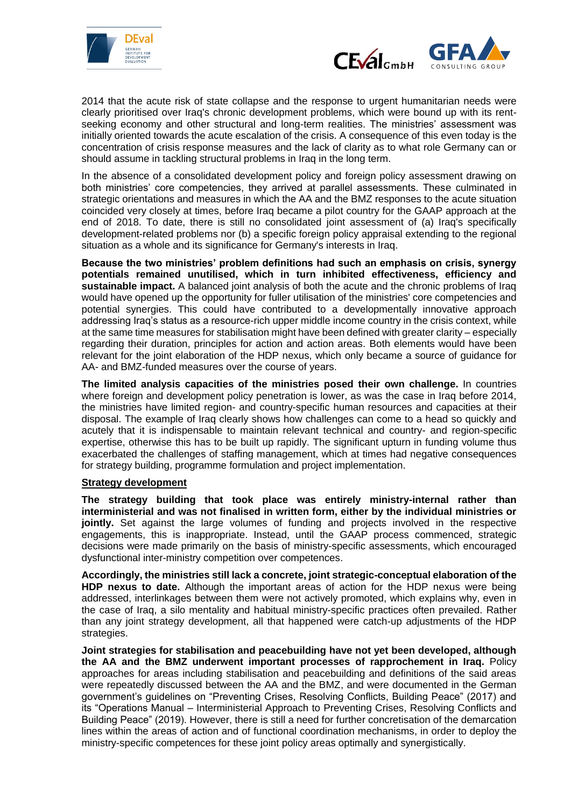



2014 that the acute risk of state collapse and the response to urgent humanitarian needs were clearly prioritised over Iraq's chronic development problems, which were bound up with its rentseeking economy and other structural and long-term realities. The ministries' assessment was initially oriented towards the acute escalation of the crisis. A consequence of this even today is the concentration of crisis response measures and the lack of clarity as to what role Germany can or should assume in tackling structural problems in Iraq in the long term.

In the absence of a consolidated development policy and foreign policy assessment drawing on both ministries' core competencies, they arrived at parallel assessments. These culminated in strategic orientations and measures in which the AA and the BMZ responses to the acute situation coincided very closely at times, before Iraq became a pilot country for the GAAP approach at the end of 2018. To date, there is still no consolidated joint assessment of (a) Iraq's specifically development-related problems nor (b) a specific foreign policy appraisal extending to the regional situation as a whole and its significance for Germany's interests in Iraq.

**Because the two ministries' problem definitions had such an emphasis on crisis, synergy potentials remained unutilised, which in turn inhibited effectiveness, efficiency and sustainable impact.** A balanced joint analysis of both the acute and the chronic problems of Iraq would have opened up the opportunity for fuller utilisation of the ministries' core competencies and potential synergies. This could have contributed to a developmentally innovative approach addressing Iraq's status as a resource-rich upper middle income country in the crisis context, while at the same time measures for stabilisation might have been defined with greater clarity – especially regarding their duration, principles for action and action areas. Both elements would have been relevant for the joint elaboration of the HDP nexus, which only became a source of guidance for AA- and BMZ-funded measures over the course of years.

**The limited analysis capacities of the ministries posed their own challenge.** In countries where foreign and development policy penetration is lower, as was the case in Iraq before 2014, the ministries have limited region- and country-specific human resources and capacities at their disposal. The example of Iraq clearly shows how challenges can come to a head so quickly and acutely that it is indispensable to maintain relevant technical and country- and region-specific expertise, otherwise this has to be built up rapidly. The significant upturn in funding volume thus exacerbated the challenges of staffing management, which at times had negative consequences for strategy building, programme formulation and project implementation.

#### **Strategy development**

**The strategy building that took place was entirely ministry-internal rather than interministerial and was not finalised in written form, either by the individual ministries or**  jointly. Set against the large volumes of funding and projects involved in the respective engagements, this is inappropriate. Instead, until the GAAP process commenced, strategic decisions were made primarily on the basis of ministry-specific assessments, which encouraged dysfunctional inter-ministry competition over competences.

**Accordingly, the ministries still lack a concrete, joint strategic-conceptual elaboration of the HDP nexus to date.** Although the important areas of action for the HDP nexus were being addressed, interlinkages between them were not actively promoted, which explains why, even in the case of Iraq, a silo mentality and habitual ministry-specific practices often prevailed. Rather than any joint strategy development, all that happened were catch-up adjustments of the HDP strategies.

**Joint strategies for stabilisation and peacebuilding have not yet been developed, although the AA and the BMZ underwent important processes of rapprochement in Iraq.** Policy approaches for areas including stabilisation and peacebuilding and definitions of the said areas were repeatedly discussed between the AA and the BMZ, and were documented in the German government's guidelines on "Preventing Crises, Resolving Conflicts, Building Peace" (2017) and its "Operations Manual – Interministerial Approach to Preventing Crises, Resolving Conflicts and Building Peace" (2019). However, there is still a need for further concretisation of the demarcation lines within the areas of action and of functional coordination mechanisms, in order to deploy the ministry-specific competences for these joint policy areas optimally and synergistically.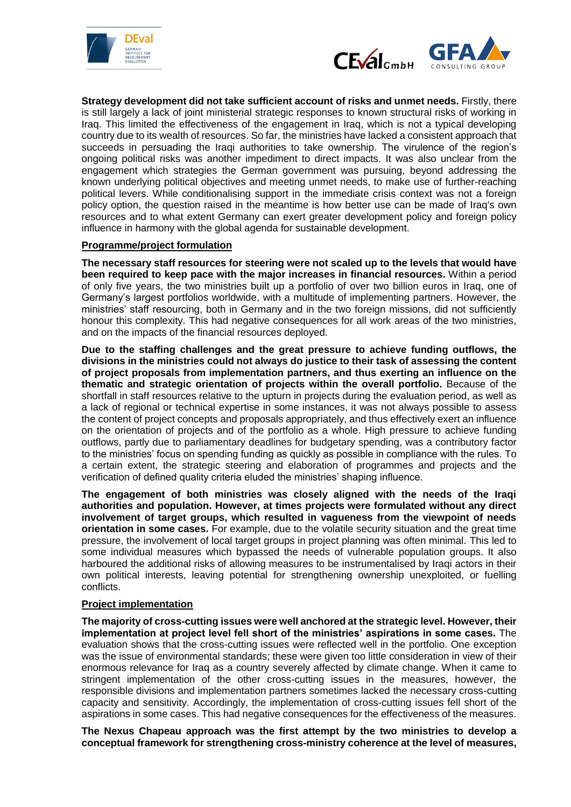



**Strategy development did not take sufficient account of risks and unmet needs.** Firstly, there is still largely a lack of joint ministerial strategic responses to known structural risks of working in Iraq. This limited the effectiveness of the engagement in Iraq, which is not a typical developing country due to its wealth of resources. So far, the ministries have lacked a consistent approach that succeeds in persuading the Iraqi authorities to take ownership. The virulence of the region's ongoing political risks was another impediment to direct impacts. It was also unclear from the engagement which strategies the German government was pursuing, beyond addressing the known underlying political objectives and meeting unmet needs, to make use of further-reaching political levers. While conditionalising support in the immediate crisis context was not a foreign policy option, the question raised in the meantime is how better use can be made of Iraq's own resources and to what extent Germany can exert greater development policy and foreign policy influence in harmony with the global agenda for sustainable development.

#### **Programme/project formulation**

**The necessary staff resources for steering were not scaled up to the levels that would have been required to keep pace with the major increases in financial resources.** Within a period of only five years, the two ministries built up a portfolio of over two billion euros in Iraq, one of Germany's largest portfolios worldwide, with a multitude of implementing partners. However, the ministries' staff resourcing, both in Germany and in the two foreign missions, did not sufficiently honour this complexity. This had negative consequences for all work areas of the two ministries, and on the impacts of the financial resources deployed.

**Due to the staffing challenges and the great pressure to achieve funding outflows, the divisions in the ministries could not always do justice to their task of assessing the content of project proposals from implementation partners, and thus exerting an influence on the thematic and strategic orientation of projects within the overall portfolio.** Because of the shortfall in staff resources relative to the upturn in projects during the evaluation period, as well as a lack of regional or technical expertise in some instances, it was not always possible to assess the content of project concepts and proposals appropriately, and thus effectively exert an influence on the orientation of projects and of the portfolio as a whole. High pressure to achieve funding outflows, partly due to parliamentary deadlines for budgetary spending, was a contributory factor to the ministries' focus on spending funding as quickly as possible in compliance with the rules. To a certain extent, the strategic steering and elaboration of programmes and projects and the verification of defined quality criteria eluded the ministries' shaping influence.

**The engagement of both ministries was closely aligned with the needs of the Iraqi authorities and population. However, at times projects were formulated without any direct involvement of target groups, which resulted in vagueness from the viewpoint of needs orientation in some cases.** For example, due to the volatile security situation and the great time pressure, the involvement of local target groups in project planning was often minimal. This led to some individual measures which bypassed the needs of vulnerable population groups. It also harboured the additional risks of allowing measures to be instrumentalised by Iraqi actors in their own political interests, leaving potential for strengthening ownership unexploited, or fuelling conflicts.

#### **Project implementation**

**The majority of cross-cutting issues were well anchored at the strategic level. However, their implementation at project level fell short of the ministries' aspirations in some cases.** The evaluation shows that the cross-cutting issues were reflected well in the portfolio. One exception was the issue of environmental standards; these were given too little consideration in view of their enormous relevance for Iraq as a country severely affected by climate change. When it came to stringent implementation of the other cross-cutting issues in the measures, however, the responsible divisions and implementation partners sometimes lacked the necessary cross-cutting capacity and sensitivity. Accordingly, the implementation of cross-cutting issues fell short of the aspirations in some cases. This had negative consequences for the effectiveness of the measures.

**The Nexus Chapeau approach was the first attempt by the two ministries to develop a conceptual framework for strengthening cross-ministry coherence at the level of measures,**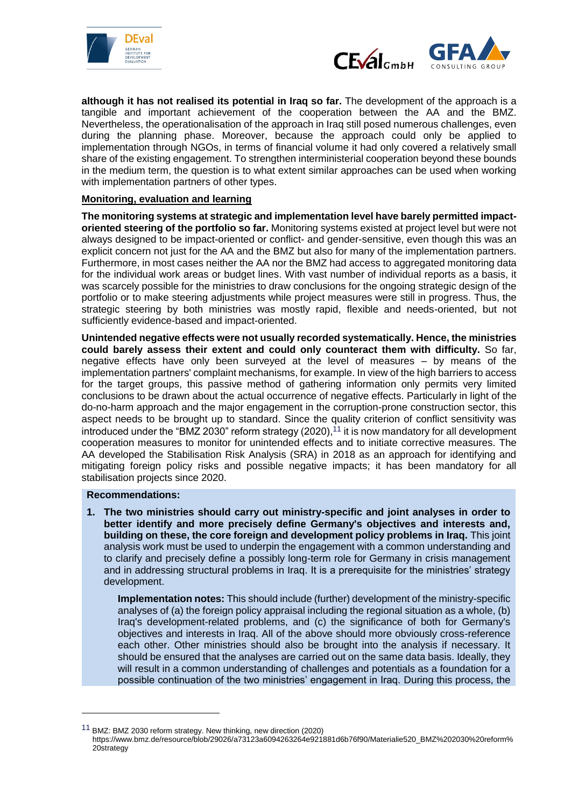



**although it has not realised its potential in Iraq so far.** The development of the approach is a tangible and important achievement of the cooperation between the AA and the BMZ. Nevertheless, the operationalisation of the approach in Iraq still posed numerous challenges, even during the planning phase. Moreover, because the approach could only be applied to implementation through NGOs, in terms of financial volume it had only covered a relatively small share of the existing engagement. To strengthen interministerial cooperation beyond these bounds in the medium term, the question is to what extent similar approaches can be used when working with implementation partners of other types.

#### **Monitoring, evaluation and learning**

**The monitoring systems at strategic and implementation level have barely permitted impactoriented steering of the portfolio so far.** Monitoring systems existed at project level but were not always designed to be impact-oriented or conflict- and gender-sensitive, even though this was an explicit concern not just for the AA and the BMZ but also for many of the implementation partners. Furthermore, in most cases neither the AA nor the BMZ had access to aggregated monitoring data for the individual work areas or budget lines. With vast number of individual reports as a basis, it was scarcely possible for the ministries to draw conclusions for the ongoing strategic design of the portfolio or to make steering adjustments while project measures were still in progress. Thus, the strategic steering by both ministries was mostly rapid, flexible and needs-oriented, but not sufficiently evidence-based and impact-oriented.

**Unintended negative effects were not usually recorded systematically. Hence, the ministries could barely assess their extent and could only counteract them with difficulty.** So far, negative effects have only been surveyed at the level of measures – by means of the implementation partners' complaint mechanisms, for example. In view of the high barriers to access for the target groups, this passive method of gathering information only permits very limited conclusions to be drawn about the actual occurrence of negative effects. Particularly in light of the do-no-harm approach and the major engagement in the corruption-prone construction sector, this aspect needs to be brought up to standard. Since the quality criterion of conflict sensitivity was introduced under the "BMZ 2030" reform strategy (2020),<sup>11</sup> it is now mandatory for all development cooperation measures to monitor for unintended effects and to initiate corrective measures. The AA developed the Stabilisation Risk Analysis (SRA) in 2018 as an approach for identifying and mitigating foreign policy risks and possible negative impacts; it has been mandatory for all stabilisation projects since 2020.

#### **Recommendations:**

1

**1. The two ministries should carry out ministry-specific and joint analyses in order to better identify and more precisely define Germany's objectives and interests and, building on these, the core foreign and development policy problems in Iraq.** This joint analysis work must be used to underpin the engagement with a common understanding and to clarify and precisely define a possibly long-term role for Germany in crisis management and in addressing structural problems in Iraq. It is a prerequisite for the ministries' strategy development.

**Implementation notes:** This should include (further) development of the ministry-specific analyses of (a) the foreign policy appraisal including the regional situation as a whole, (b) Iraq's development-related problems, and (c) the significance of both for Germany's objectives and interests in Iraq. All of the above should more obviously cross-reference each other. Other ministries should also be brought into the analysis if necessary. It should be ensured that the analyses are carried out on the same data basis. Ideally, they will result in a common understanding of challenges and potentials as a foundation for a possible continuation of the two ministries' engagement in Iraq. During this process, the

<sup>&</sup>lt;sup>11</sup> BMZ: BMZ 2030 reform strategy. New thinking, new direction (2020)

https://www.bmz.de/resource/blob/29026/a73123a6094263264e921881d6b76f90/Materialie520\_BMZ%202030%20reform% 20strategy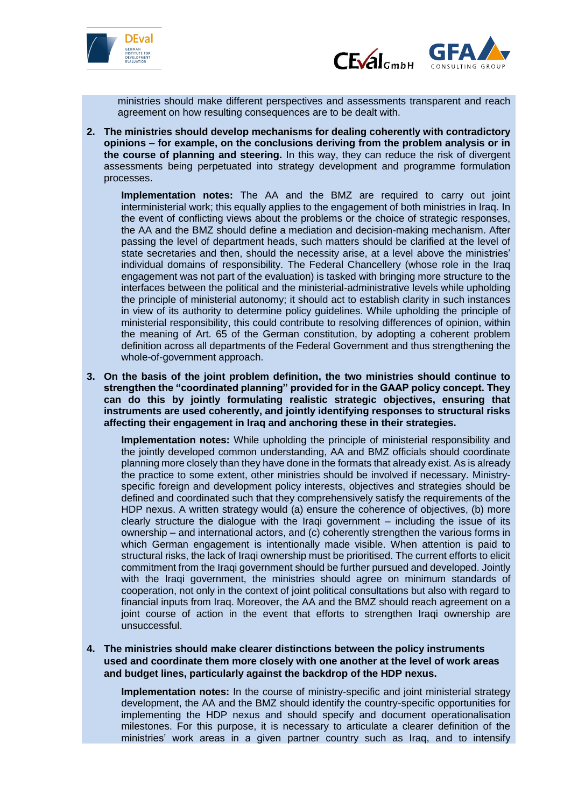



ministries should make different perspectives and assessments transparent and reach agreement on how resulting consequences are to be dealt with.

**2. The ministries should develop mechanisms for dealing coherently with contradictory opinions – for example, on the conclusions deriving from the problem analysis or in the course of planning and steering.** In this way, they can reduce the risk of divergent assessments being perpetuated into strategy development and programme formulation processes.

**Implementation notes:** The AA and the BMZ are required to carry out joint interministerial work; this equally applies to the engagement of both ministries in Iraq. In the event of conflicting views about the problems or the choice of strategic responses, the AA and the BMZ should define a mediation and decision-making mechanism. After passing the level of department heads, such matters should be clarified at the level of state secretaries and then, should the necessity arise, at a level above the ministries' individual domains of responsibility. The Federal Chancellery (whose role in the Iraq engagement was not part of the evaluation) is tasked with bringing more structure to the interfaces between the political and the ministerial-administrative levels while upholding the principle of ministerial autonomy; it should act to establish clarity in such instances in view of its authority to determine policy guidelines. While upholding the principle of ministerial responsibility, this could contribute to resolving differences of opinion, within the meaning of Art. 65 of the German constitution, by adopting a coherent problem definition across all departments of the Federal Government and thus strengthening the whole-of-government approach.

**3. On the basis of the joint problem definition, the two ministries should continue to strengthen the "coordinated planning" provided for in the GAAP policy concept. They can do this by jointly formulating realistic strategic objectives, ensuring that instruments are used coherently, and jointly identifying responses to structural risks affecting their engagement in Iraq and anchoring these in their strategies.**

**Implementation notes:** While upholding the principle of ministerial responsibility and the jointly developed common understanding, AA and BMZ officials should coordinate planning more closely than they have done in the formats that already exist. As is already the practice to some extent, other ministries should be involved if necessary. Ministryspecific foreign and development policy interests, objectives and strategies should be defined and coordinated such that they comprehensively satisfy the requirements of the HDP nexus. A written strategy would (a) ensure the coherence of objectives, (b) more clearly structure the dialogue with the Iraqi government – including the issue of its ownership – and international actors, and (c) coherently strengthen the various forms in which German engagement is intentionally made visible. When attention is paid to structural risks, the lack of Iraqi ownership must be prioritised. The current efforts to elicit commitment from the Iraqi government should be further pursued and developed. Jointly with the Iraqi government, the ministries should agree on minimum standards of cooperation, not only in the context of joint political consultations but also with regard to financial inputs from Iraq. Moreover, the AA and the BMZ should reach agreement on a joint course of action in the event that efforts to strengthen Iraqi ownership are unsuccessful.

**4. The ministries should make clearer distinctions between the policy instruments used and coordinate them more closely with one another at the level of work areas and budget lines, particularly against the backdrop of the HDP nexus.**

**Implementation notes:** In the course of ministry-specific and joint ministerial strategy development, the AA and the BMZ should identify the country-specific opportunities for implementing the HDP nexus and should specify and document operationalisation milestones. For this purpose, it is necessary to articulate a clearer definition of the ministries' work areas in a given partner country such as Iraq, and to intensify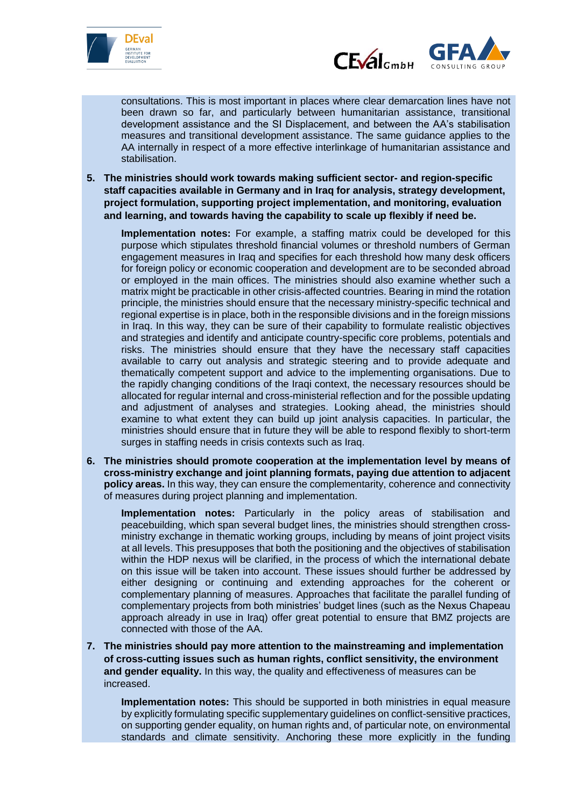



consultations. This is most important in places where clear demarcation lines have not been drawn so far, and particularly between humanitarian assistance, transitional development assistance and the SI Displacement, and between the AA's stabilisation measures and transitional development assistance. The same guidance applies to the AA internally in respect of a more effective interlinkage of humanitarian assistance and stabilisation.

**5. The ministries should work towards making sufficient sector- and region-specific staff capacities available in Germany and in Iraq for analysis, strategy development, project formulation, supporting project implementation, and monitoring, evaluation and learning, and towards having the capability to scale up flexibly if need be.**

**Implementation notes:** For example, a staffing matrix could be developed for this purpose which stipulates threshold financial volumes or threshold numbers of German engagement measures in Iraq and specifies for each threshold how many desk officers for foreign policy or economic cooperation and development are to be seconded abroad or employed in the main offices. The ministries should also examine whether such a matrix might be practicable in other crisis-affected countries. Bearing in mind the rotation principle, the ministries should ensure that the necessary ministry-specific technical and regional expertise is in place, both in the responsible divisions and in the foreign missions in Iraq. In this way, they can be sure of their capability to formulate realistic objectives and strategies and identify and anticipate country-specific core problems, potentials and risks. The ministries should ensure that they have the necessary staff capacities available to carry out analysis and strategic steering and to provide adequate and thematically competent support and advice to the implementing organisations. Due to the rapidly changing conditions of the Iraqi context, the necessary resources should be allocated for regular internal and cross-ministerial reflection and for the possible updating and adjustment of analyses and strategies. Looking ahead, the ministries should examine to what extent they can build up joint analysis capacities. In particular, the ministries should ensure that in future they will be able to respond flexibly to short-term surges in staffing needs in crisis contexts such as Iraq.

**6. The ministries should promote cooperation at the implementation level by means of cross-ministry exchange and joint planning formats, paying due attention to adjacent policy areas.** In this way, they can ensure the complementarity, coherence and connectivity of measures during project planning and implementation.

**Implementation notes:** Particularly in the policy areas of stabilisation and peacebuilding, which span several budget lines, the ministries should strengthen crossministry exchange in thematic working groups, including by means of joint project visits at all levels. This presupposes that both the positioning and the objectives of stabilisation within the HDP nexus will be clarified, in the process of which the international debate on this issue will be taken into account. These issues should further be addressed by either designing or continuing and extending approaches for the coherent or complementary planning of measures. Approaches that facilitate the parallel funding of complementary projects from both ministries' budget lines (such as the Nexus Chapeau approach already in use in Iraq) offer great potential to ensure that BMZ projects are connected with those of the AA.

**7. The ministries should pay more attention to the mainstreaming and implementation of cross-cutting issues such as human rights, conflict sensitivity, the environment and gender equality.** In this way, the quality and effectiveness of measures can be increased.

**Implementation notes:** This should be supported in both ministries in equal measure by explicitly formulating specific supplementary guidelines on conflict-sensitive practices, on supporting gender equality, on human rights and, of particular note, on environmental standards and climate sensitivity. Anchoring these more explicitly in the funding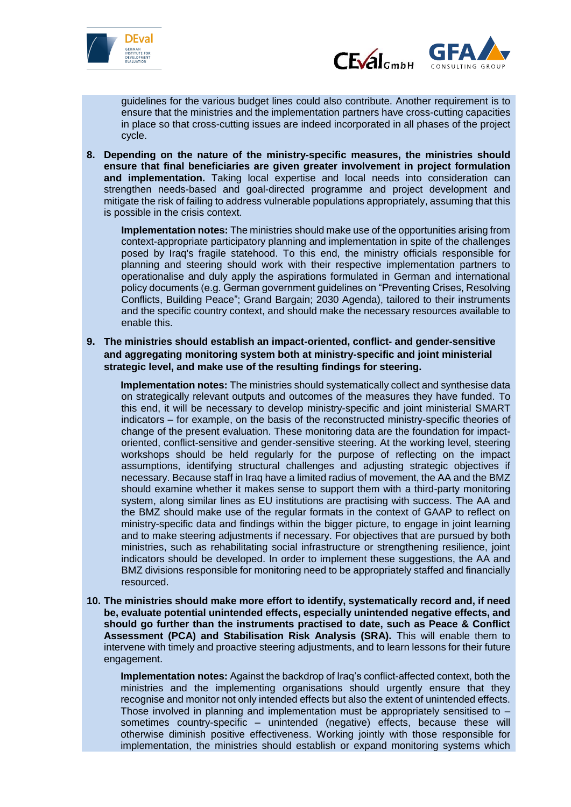



guidelines for the various budget lines could also contribute. Another requirement is to ensure that the ministries and the implementation partners have cross-cutting capacities in place so that cross-cutting issues are indeed incorporated in all phases of the project cycle.

**8. Depending on the nature of the ministry-specific measures, the ministries should ensure that final beneficiaries are given greater involvement in project formulation and implementation.** Taking local expertise and local needs into consideration can strengthen needs-based and goal-directed programme and project development and mitigate the risk of failing to address vulnerable populations appropriately, assuming that this is possible in the crisis context.

**Implementation notes:** The ministries should make use of the opportunities arising from context-appropriate participatory planning and implementation in spite of the challenges posed by Iraq's fragile statehood. To this end, the ministry officials responsible for planning and steering should work with their respective implementation partners to operationalise and duly apply the aspirations formulated in German and international policy documents (e.g. German government guidelines on "Preventing Crises, Resolving Conflicts, Building Peace"; Grand Bargain; 2030 Agenda), tailored to their instruments and the specific country context, and should make the necessary resources available to enable this.

**9. The ministries should establish an impact-oriented, conflict- and gender-sensitive and aggregating monitoring system both at ministry-specific and joint ministerial strategic level, and make use of the resulting findings for steering.**

**Implementation notes:** The ministries should systematically collect and synthesise data on strategically relevant outputs and outcomes of the measures they have funded. To this end, it will be necessary to develop ministry-specific and joint ministerial SMART indicators – for example, on the basis of the reconstructed ministry-specific theories of change of the present evaluation. These monitoring data are the foundation for impactoriented, conflict-sensitive and gender-sensitive steering. At the working level, steering workshops should be held regularly for the purpose of reflecting on the impact assumptions, identifying structural challenges and adjusting strategic objectives if necessary. Because staff in Iraq have a limited radius of movement, the AA and the BMZ should examine whether it makes sense to support them with a third-party monitoring system, along similar lines as EU institutions are practising with success. The AA and the BMZ should make use of the regular formats in the context of GAAP to reflect on ministry-specific data and findings within the bigger picture, to engage in joint learning and to make steering adjustments if necessary. For objectives that are pursued by both ministries, such as rehabilitating social infrastructure or strengthening resilience, joint indicators should be developed. In order to implement these suggestions, the AA and BMZ divisions responsible for monitoring need to be appropriately staffed and financially resourced.

**10. The ministries should make more effort to identify, systematically record and, if need be, evaluate potential unintended effects, especially unintended negative effects, and should go further than the instruments practised to date, such as Peace & Conflict Assessment (PCA) and Stabilisation Risk Analysis (SRA).** This will enable them to intervene with timely and proactive steering adjustments, and to learn lessons for their future engagement.

**Implementation notes:** Against the backdrop of Iraq's conflict-affected context, both the ministries and the implementing organisations should urgently ensure that they recognise and monitor not only intended effects but also the extent of unintended effects. Those involved in planning and implementation must be appropriately sensitised to – sometimes country-specific – unintended (negative) effects, because these will otherwise diminish positive effectiveness. Working jointly with those responsible for implementation, the ministries should establish or expand monitoring systems which